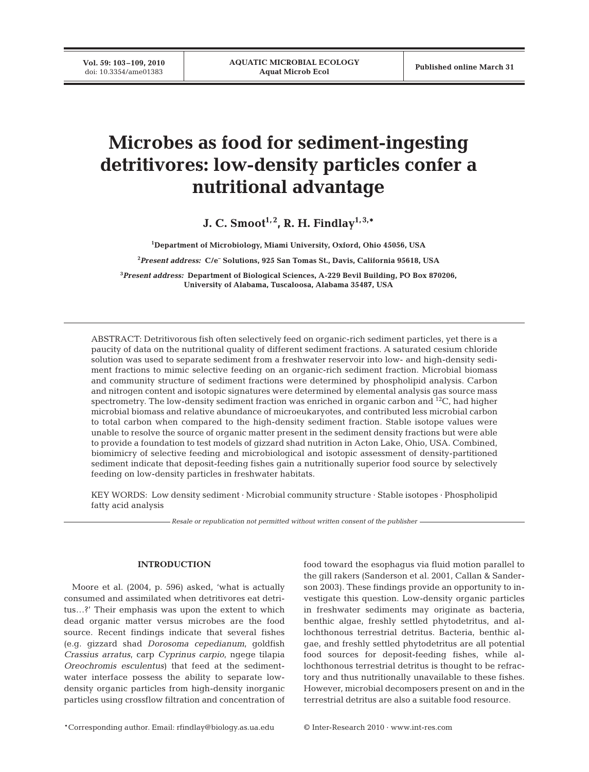**Vol. 59: 103-109, 2010**<br>doi: 10.3354/ame01383

# **Microbes as food for sediment-ingesting detritivores: low-density particles confer a nutritional advantage**

**J. C. Smoot**<sup>1, 2</sup>, R. H. Findlay<sup>1, 3,\*</sup>

**1 Department of Microbiology, Miami University, Oxford, Ohio 45056, USA**

**2** *Present address:* **C/e– Solutions, 925 San Tomas St., Davis, California 95618, USA**

**3** *Present address:* **Department of Biological Sciences, A-229 Bevil Building, PO Box 870206, University of Alabama, Tuscaloosa, Alabama 35487, USA**

ABSTRACT: Detritivorous fish often selectively feed on organic-rich sediment particles, yet there is a paucity of data on the nutritional quality of different sediment fractions. A saturated cesium chloride solution was used to separate sediment from a freshwater reservoir into low- and high-density sediment fractions to mimic selective feeding on an organic-rich sediment fraction. Microbial biomass and community structure of sediment fractions were determined by phospholipid analysis. Carbon and nitrogen content and isotopic signatures were determined by elemental analysis gas source mass spectrometry. The low-density sediment fraction was enriched in organic carbon and  $^{12}C$ , had higher microbial biomass and relative abundance of microeukaryotes, and contributed less microbial carbon to total carbon when compared to the high-density sediment fraction. Stable isotope values were unable to resolve the source of organic matter present in the sediment density fractions but were able to provide a foundation to test models of gizzard shad nutrition in Acton Lake, Ohio, USA. Combined, biomimicry of selective feeding and microbiological and isotopic assessment of density-partitioned sediment indicate that deposit-feeding fishes gain a nutritionally superior food source by selectively feeding on low-density particles in freshwater habitats.

KEY WORDS: Low density sediment · Microbial community structure · Stable isotopes · Phospholipid fatty acid analysis

*Resale or republication not permitted without written consent of the publisher*

### **INTRODUCTION**

Moore et al. (2004, p. 596) asked, 'what is actually consumed and assimilated when detritivores eat detritus…?' Their emphasis was upon the extent to which dead organic matter versus microbes are the food source. Recent findings indicate that several fishes (e.g. gizzard shad *Dorosoma cepedianum*, goldfish *Crassius arratus*, carp *Cyprinus carpio*, ngege tilapia *Oreochromis esculentus*) that feed at the sedimentwater interface possess the ability to separate lowdensity organic particles from high-density inorganic particles using crossflow filtration and concentration of food toward the esophagus via fluid motion parallel to the gill rakers (Sanderson et al. 2001, Callan & Sanderson 2003). These findings provide an opportunity to investigate this question. Low-density organic particles in freshwater sediments may originate as bacteria, benthic algae, freshly settled phytodetritus, and allochthonous terrestrial detritus. Bacteria, benthic algae, and freshly settled phytodetritus are all potential food sources for deposit-feeding fishes, while allochthonous terrestrial detritus is thought to be refractory and thus nutritionally unavailable to these fishes. However, microbial decomposers present on and in the terrestrial detritus are also a suitable food resource.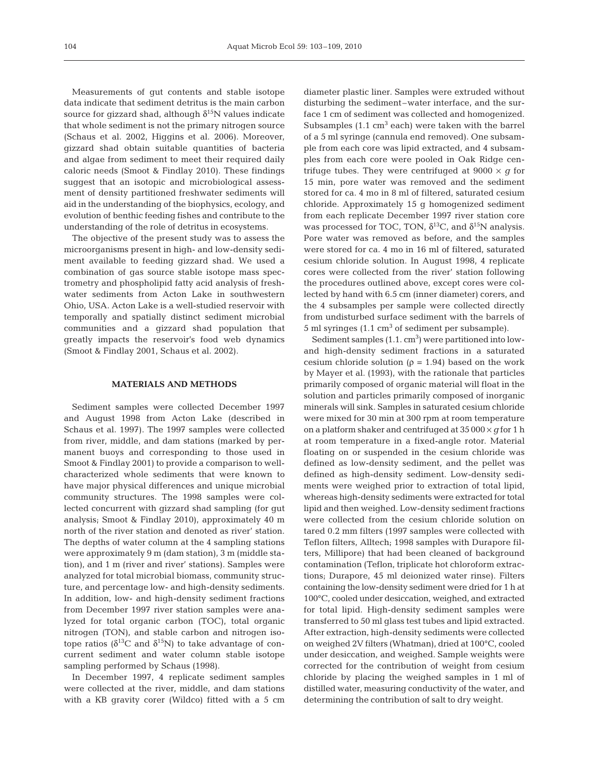Measurements of gut contents and stable isotope data indicate that sediment detritus is the main carbon source for gizzard shad, although  $\delta^{15}N$  values indicate that whole sediment is not the primary nitrogen source (Schaus et al. 2002, Higgins et al. 2006). Moreover, gizzard shad obtain suitable quantities of bacteria and algae from sediment to meet their required daily caloric needs (Smoot & Findlay 2010). These findings suggest that an isotopic and microbiological assessment of density partitioned freshwater sediments will aid in the understanding of the biophysics, ecology, and evolution of benthic feeding fishes and contribute to the understanding of the role of detritus in ecosystems.

The objective of the present study was to assess the microorganisms present in high- and low-density sediment available to feeding gizzard shad. We used a combination of gas source stable isotope mass spectrometry and phospholipid fatty acid analysis of freshwater sediments from Acton Lake in southwestern Ohio, USA. Acton Lake is a well-studied reservoir with temporally and spatially distinct sediment microbial communities and a gizzard shad population that greatly impacts the reservoir's food web dynamics (Smoot & Findlay 2001, Schaus et al. 2002).

## **MATERIALS AND METHODS**

Sediment samples were collected December 1997 and August 1998 from Acton Lake (described in Schaus et al. 1997). The 1997 samples were collected from river, middle, and dam stations (marked by permanent buoys and corresponding to those used in Smoot & Findlay 2001) to provide a comparison to wellcharacterized whole sediments that were known to have major physical differences and unique microbial community structures. The 1998 samples were collected concurrent with gizzard shad sampling (for gut analysis; Smoot & Findlay 2010), approximately 40 m north of the river station and denoted as river' station. The depths of water column at the 4 sampling stations were approximately 9 m (dam station), 3 m (middle station), and 1 m (river and river' stations). Samples were analyzed for total microbial biomass, community structure, and percentage low- and high-density sediments. In addition, low- and high-density sediment fractions from December 1997 river station samples were analyzed for total organic carbon (TOC), total organic nitrogen (TON), and stable carbon and nitrogen isotope ratios ( $\delta^{13}$ C and  $\delta^{15}$ N) to take advantage of concurrent sediment and water column stable isotope sampling performed by Schaus (1998).

In December 1997, 4 replicate sediment samples were collected at the river, middle, and dam stations with a KB gravity corer (Wildco) fitted with a 5 cm diameter plastic liner. Samples were extruded without disturbing the sediment–water interface, and the surface 1 cm of sediment was collected and homogenized. Subsamples  $(1.1 \text{ cm}^3 \text{ each})$  were taken with the barrel of a 5 ml syringe (cannula end removed). One subsample from each core was lipid extracted, and 4 subsamples from each core were pooled in Oak Ridge centrifuge tubes. They were centrifuged at  $9000 \times g$  for 15 min, pore water was removed and the sediment stored for ca. 4 mo in 8 ml of filtered, saturated cesium chloride. Approximately 15 g homogenized sediment from each replicate December 1997 river station core was processed for TOC, TON,  $\delta^{13}$ C, and  $\delta^{15}$ N analysis. Pore water was removed as before, and the samples were stored for ca. 4 mo in 16 ml of filtered, saturated cesium chloride solution. In August 1998, 4 replicate cores were collected from the river' station following the procedures outlined above, except cores were collected by hand with 6.5 cm (inner diameter) corers, and the 4 subsamples per sample were collected directly from undisturbed surface sediment with the barrels of 5 ml syringes  $(1.1 \text{ cm}^3 \text{ of sediment per subsample}).$ 

Sediment samples  $(1.1 \text{ cm}^3)$  were partitioned into lowand high-density sediment fractions in a saturated cesium chloride solution ( $\rho = 1.94$ ) based on the work by Mayer et al. (1993), with the rationale that particles primarily composed of organic material will float in the solution and particles primarily composed of inorganic minerals will sink. Samples in saturated cesium chloride were mixed for 30 min at 300 rpm at room temperature on a platform shaker and centrifuged at 35 000 × *g* for 1 h at room temperature in a fixed-angle rotor. Material floating on or suspended in the cesium chloride was defined as low-density sediment, and the pellet was defined as high-density sediment. Low-density sediments were weighed prior to extraction of total lipid, whereas high-density sediments were extracted for total lipid and then weighed. Low-density sediment fractions were collected from the cesium chloride solution on tared 0.2 mm filters (1997 samples were collected with Teflon filters, Alltech; 1998 samples with Durapore filters, Millipore) that had been cleaned of background contamination (Teflon, triplicate hot chloroform extractions; Durapore, 45 ml deionized water rinse). Filters containing the low-density sediment were dried for 1 h at 100°C, cooled under desiccation, weighed, and extracted for total lipid. High-density sediment samples were transferred to 50 ml glass test tubes and lipid extracted. After extraction, high-density sediments were collected on weighed 2V filters (Whatman), dried at 100°C, cooled under desiccation, and weighed. Sample weights were corrected for the contribution of weight from cesium chloride by placing the weighed samples in 1 ml of distilled water, measuring conductivity of the water, and determining the contribution of salt to dry weight.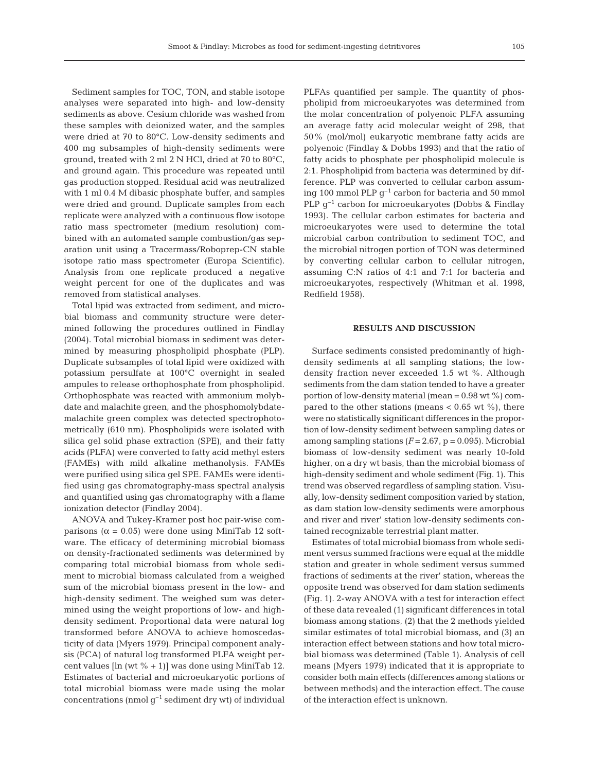Sediment samples for TOC, TON, and stable isotope analyses were separated into high- and low-density sediments as above. Cesium chloride was washed from these samples with deionized water, and the samples were dried at 70 to 80°C. Low-density sediments and 400 mg subsamples of high-density sediments were ground, treated with 2 ml 2 N HCl, dried at 70 to 80°C, and ground again. This procedure was repeated until gas production stopped. Residual acid was neutralized with 1 ml 0.4 M dibasic phosphate buffer, and samples were dried and ground. Duplicate samples from each replicate were analyzed with a continuous flow isotope ratio mass spectrometer (medium resolution) combined with an automated sample combustion/gas separation unit using a Tracermass/Roboprep-CN stable isotope ratio mass spectrometer (Europa Scientific). Analysis from one replicate produced a negative weight percent for one of the duplicates and was removed from statistical analyses.

Total lipid was extracted from sediment, and microbial biomass and community structure were determined following the procedures outlined in Findlay (2004). Total microbial biomass in sediment was determined by measuring phospholipid phosphate (PLP). Duplicate subsamples of total lipid were oxidized with potassium persulfate at 100°C overnight in sealed ampules to release orthophosphate from phospholipid. Orthophosphate was reacted with ammonium molybdate and malachite green, and the phosphomolybdatemalachite green complex was detected spectrophotometrically (610 nm). Phospholipids were isolated with silica gel solid phase extraction (SPE), and their fatty acids (PLFA) were converted to fatty acid methyl esters (FAMEs) with mild alkaline methanolysis. FAMEs were purified using silica gel SPE. FAMEs were identified using gas chromatography-mass spectral analysis and quantified using gas chromatography with a flame ionization detector (Findlay 2004).

ANOVA and Tukey-Kramer post hoc pair-wise comparisons ( $\alpha$  = 0.05) were done using MiniTab 12 software. The efficacy of determining microbial biomass on density-fractionated sediments was determined by comparing total microbial biomass from whole sediment to microbial biomass calculated from a weighed sum of the microbial biomass present in the low- and high-density sediment. The weighed sum was determined using the weight proportions of low- and highdensity sediment. Proportional data were natural log transformed before ANOVA to achieve homoscedasticity of data (Myers 1979). Principal component analysis (PCA) of natural log transformed PLFA weight percent values [ $\ln (wt % + 1)$ ] was done using MiniTab 12. Estimates of bacterial and microeukaryotic portions of total microbial biomass were made using the molar concentrations (nmol  $g^{-1}$  sediment dry wt) of individual PLFAs quantified per sample. The quantity of phospholipid from microeukaryotes was determined from the molar concentration of polyenoic PLFA assuming an average fatty acid molecular weight of 298, that 50% (mol/mol) eukaryotic membrane fatty acids are polyenoic (Findlay & Dobbs 1993) and that the ratio of fatty acids to phosphate per phospholipid molecule is 2:1. Phospholipid from bacteria was determined by difference. PLP was converted to cellular carbon assuming 100 mmol PLP  $q^{-1}$  carbon for bacteria and 50 mmol PLP  $q^{-1}$  carbon for microeukaryotes (Dobbs & Findlay 1993). The cellular carbon estimates for bacteria and microeukaryotes were used to determine the total microbial carbon contribution to sediment TOC, and the microbial nitrogen portion of TON was determined by converting cellular carbon to cellular nitrogen, assuming C:N ratios of 4:1 and 7:1 for bacteria and microeukaryotes, respectively (Whitman et al. 1998, Redfield 1958).

# **RESULTS AND DISCUSSION**

Surface sediments consisted predominantly of highdensity sediments at all sampling stations; the lowdensity fraction never exceeded 1.5 wt %. Although sediments from the dam station tended to have a greater portion of low-density material (mean = 0.98 wt %) compared to the other stations (means  $< 0.65$  wt %), there were no statistically significant differences in the proportion of low-density sediment between sampling dates or among sampling stations  $(F = 2.67, p = 0.095)$ . Microbial biomass of low-density sediment was nearly 10-fold higher, on a dry wt basis, than the microbial biomass of high-density sediment and whole sediment (Fig. 1). This trend was observed regardless of sampling station. Visually, low-density sediment composition varied by station, as dam station low-density sediments were amorphous and river and river' station low-density sediments contained recognizable terrestrial plant matter.

Estimates of total microbial biomass from whole sediment versus summed fractions were equal at the middle station and greater in whole sediment versus summed fractions of sediments at the river' station, whereas the opposite trend was observed for dam station sediments (Fig. 1). 2-way ANOVA with a test for interaction effect of these data revealed (1) significant differences in total biomass among stations, (2) that the 2 methods yielded similar estimates of total microbial biomass, and (3) an interaction effect between stations and how total microbial biomass was determined (Table 1). Analysis of cell means (Myers 1979) indicated that it is appropriate to consider both main effects (differences among stations or between methods) and the interaction effect. The cause of the interaction effect is unknown.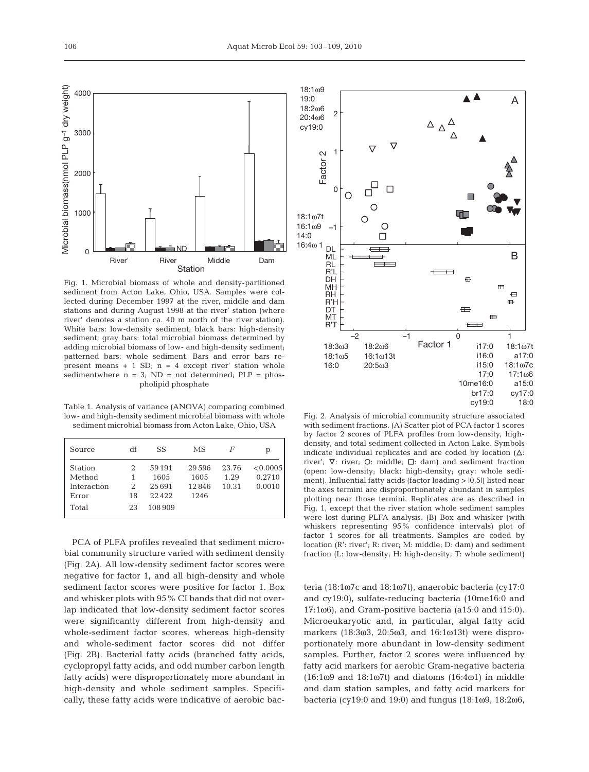Fig. 1. Microbial biomass of whole and density-partitioned sediment from Acton Lake, Ohio, USA. Samples were collected during December 1997 at the river, middle and dam stations and during August 1998 at the river' station (where river' denotes a station ca. 40 m north of the river station). White bars: low-density sediment; black bars: high-density sediment; gray bars: total microbial biomass determined by adding microbial biomass of low- and high-density sediment; patterned bars: whole sediment. Bars and error bars represent means  $+ 1$  SD;  $n = 4$  except river' station whole sedimentwhere  $n = 3$ ; ND = not determined; PLP = phospholipid phosphate

Station

ND River' River Middle Dam

Table 1. Analysis of variance (ANOVA) comparing combined low- and high-density sediment microbial biomass with whole sediment microbial biomass from Acton Lake, Ohio, USA

| Source                                           | df                | SS                               | MS                             | F                      | p                            |
|--------------------------------------------------|-------------------|----------------------------------|--------------------------------|------------------------|------------------------------|
| <b>Station</b><br>Method<br>Interaction<br>Error | 2<br>1<br>2<br>18 | 59191<br>1605<br>25691<br>22.422 | 29596<br>1605<br>12846<br>1246 | 23.76<br>1.29<br>10.31 | < 0.0005<br>0.2710<br>0.0010 |
| Total                                            | 23                | 108.909                          |                                |                        |                              |

PCA of PLFA profiles revealed that sediment microbial community structure varied with sediment density (Fig. 2A). All low-density sediment factor scores were negative for factor 1, and all high-density and whole sediment factor scores were positive for factor 1. Box and whisker plots with 95% CI bands that did not overlap indicated that low-density sediment factor scores were significantly different from high-density and whole-sediment factor scores, whereas high-density and whole-sediment factor scores did not differ (Fig. 2B). Bacterial fatty acids (branched fatty acids, cyclopropyl fatty acids, and odd number carbon length fatty acids) were disproportionately more abundant in high-density and whole sediment samples. Specifically, these fatty acids were indicative of aerobic bac-



Fig. 2. Analysis of microbial community structure associated with sediment fractions. (A) Scatter plot of PCA factor 1 scores by factor 2 scores of PLFA profiles from low-density, highdensity, and total sediment collected in Acton Lake. Symbols indicate individual replicates and are coded by location  $(\Delta)$ : river';  $\nabla$ : river; O: middle;  $\Box$ : dam) and sediment fraction (open: low-density; black: high-density; gray: whole sediment). Influential fatty acids (factor loading >  $|0.5|$ ) listed near the axes termini are disproportionately abundant in samples plotting near those termini. Replicates are as described in Fig. 1, except that the river station whole sediment samples were lost during PLFA analysis. (B) Box and whisker (with whiskers representing 95% confidence intervals) plot of factor 1 scores for all treatments. Samples are coded by location (R': river'; R: river; M: middle; D: dam) and sediment fraction (L: low-density; H: high-density; T: whole sediment)

teria (18:1ω7c and 18:1ω7t), anaerobic bacteria (cy17:0 and cy19:0), sulfate-reducing bacteria (10me16:0 and 17:1ω6), and Gram-positive bacteria (a15:0 and i15:0). Microeukaryotic and, in particular, algal fatty acid markers (18:3ω3, 20:5ω3, and 16:1ω13t) were disproportionately more abundant in low-density sediment samples. Further, factor 2 scores were influenced by fatty acid markers for aerobic Gram-negative bacteria (16:1ω9 and 18:1ω7t) and diatoms (16:4ω1) in middle and dam station samples, and fatty acid markers for bacteria (cy19:0 and 19:0) and fungus (18:1ω9, 18:2ω6,

Microbial biomass(nmol PLP g–1 dry weight)

Viicrobial biomass(nmol PLP g<sup>-1</sup> dry weight)

0

1000

2000

3000

4000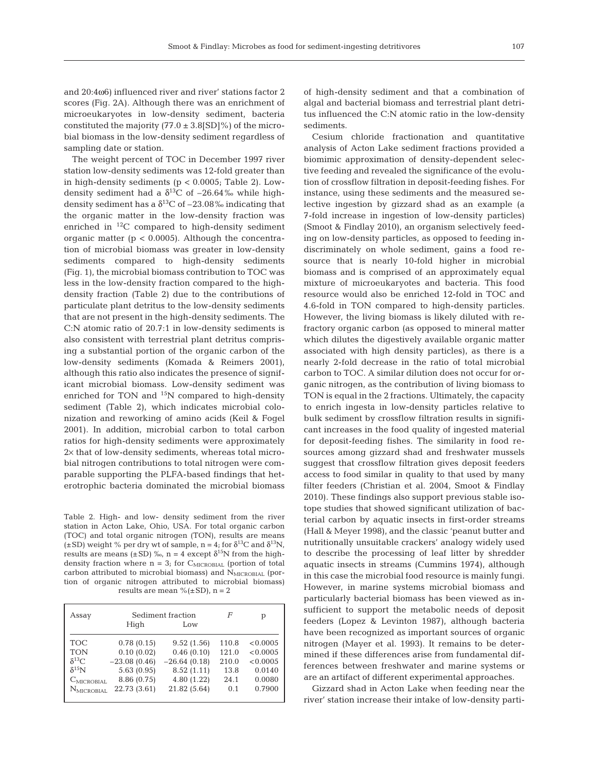and 20:4ω6) influenced river and river' stations factor 2 scores (Fig. 2A). Although there was an enrichment of microeukaryotes in low-density sediment, bacteria constituted the majority  $(77.0 \pm 3.8$ [SD]%) of the microbial biomass in the low-density sediment regardless of sampling date or station.

The weight percent of TOC in December 1997 river station low-density sediments was 12-fold greater than in high-density sediments ( $p < 0.0005$ ; Table 2). Lowdensity sediment had a  $\delta^{13}$ C of -26.64‰ while highdensity sediment has a  $\delta^{13}$ C of -23.08% indicating that the organic matter in the low-density fraction was enriched in  ${}^{12}C$  compared to high-density sediment organic matter ( $p < 0.0005$ ). Although the concentration of microbial biomass was greater in low-density sediments compared to high-density sediments (Fig. 1), the microbial biomass contribution to TOC was less in the low-density fraction compared to the highdensity fraction (Table 2) due to the contributions of particulate plant detritus to the low-density sediments that are not present in the high-density sediments. The C:N atomic ratio of 20.7:1 in low-density sediments is also consistent with terrestrial plant detritus comprising a substantial portion of the organic carbon of the low-density sediments (Komada & Reimers 2001), although this ratio also indicates the presence of significant microbial biomass. Low-density sediment was enriched for TON and  $^{15}N$  compared to high-density sediment (Table 2), which indicates microbial colonization and reworking of amino acids (Keil & Fogel 2001). In addition, microbial carbon to total carbon ratios for high-density sediments were approximately 2× that of low-density sediments, whereas total microbial nitrogen contributions to total nitrogen were comparable supporting the PLFA-based findings that heterotrophic bacteria dominated the microbial biomass

Table 2. High- and low- density sediment from the river station in Acton Lake, Ohio, USA. For total organic carbon (TOC) and total organic nitrogen (TON), results are means ( $\pm$ SD) weight % per dry wt of sample, n = 4; for  $\delta^{13}C$  and  $\delta^{13}N$ , results are means ( $\pm$ SD) ‰, n = 4 except  $\delta^{15}N$  from the highdensity fraction where  $n = 3$ ; for  $C_{\text{MICROBIAL}}$  (portion of total carbon attributed to microbial biomass) and NMICROBIAL (portion of organic nitrogen attributed to microbial biomass) results are mean %( $\pm$ SD), n = 2

| Assay                            | High           | Sediment fraction<br>Low | F     | р        |
|----------------------------------|----------------|--------------------------|-------|----------|
| <b>TOC</b>                       | 0.78(0.15)     | 9.52(1.56)               | 110.8 | < 0.0005 |
| <b>TON</b>                       | 0.10(0.02)     | 0.46(0.10)               | 121.0 | < 0.0005 |
| $\delta^{13}C$                   | $-23.08(0.46)$ | $-26.64(0.18)$           | 210.0 | < 0.0005 |
| $\delta^{15}$ N                  | 5.63(0.95)     | 8.52(1.11)               | 13.8  | 0.0140   |
| $\mathcal{C}_{\text{MICROBIAL}}$ | 8.86 (0.75)    | 4.80 (1.22)              | 24.1  | 0.0080   |
| $N_{\text{MICROBIAL}}$           | 22.73 (3.61)   | 21.82 (5.64)             | 0.1   | 0.7900   |

of high-density sediment and that a combination of algal and bacterial biomass and terrestrial plant detritus influenced the C:N atomic ratio in the low-density sediments.

Cesium chloride fractionation and quantitative analysis of Acton Lake sediment fractions provided a biomimic approximation of density-dependent selective feeding and revealed the significance of the evolution of crossflow filtration in deposit-feeding fishes. For instance, using these sediments and the measured selective ingestion by gizzard shad as an example (a 7-fold increase in ingestion of low-density particles) (Smoot & Findlay 2010), an organism selectively feeding on low-density particles, as opposed to feeding indiscriminately on whole sediment, gains a food resource that is nearly 10-fold higher in microbial biomass and is comprised of an approximately equal mixture of microeukaryotes and bacteria. This food resource would also be enriched 12-fold in TOC and 4.6-fold in TON compared to high-density particles. However, the living biomass is likely diluted with refractory organic carbon (as opposed to mineral matter which dilutes the digestively available organic matter associated with high density particles), as there is a nearly 2-fold decrease in the ratio of total microbial carbon to TOC. A similar dilution does not occur for organic nitrogen, as the contribution of living biomass to TON is equal in the 2 fractions. Ultimately, the capacity to enrich ingesta in low-density particles relative to bulk sediment by crossflow filtration results in significant increases in the food quality of ingested material for deposit-feeding fishes. The similarity in food resources among gizzard shad and freshwater mussels suggest that crossflow filtration gives deposit feeders access to food similar in quality to that used by many filter feeders (Christian et al. 2004, Smoot & Findlay 2010). These findings also support previous stable isotope studies that showed significant utilization of bacterial carbon by aquatic insects in first-order streams (Hall & Meyer 1998), and the classic 'peanut butter and nutritionally unsuitable crackers' analogy widely used to describe the processing of leaf litter by shredder aquatic insects in streams (Cummins 1974), although in this case the microbial food resource is mainly fungi. However, in marine systems microbial biomass and particularly bacterial biomass has been viewed as insufficient to support the metabolic needs of deposit feeders (Lopez & Levinton 1987), although bacteria have been recognized as important sources of organic nitrogen (Mayer et al. 1993). It remains to be determined if these differences arise from fundamental differences between freshwater and marine systems or are an artifact of different experimental approaches.

Gizzard shad in Acton Lake when feeding near the river' station increase their intake of low-density parti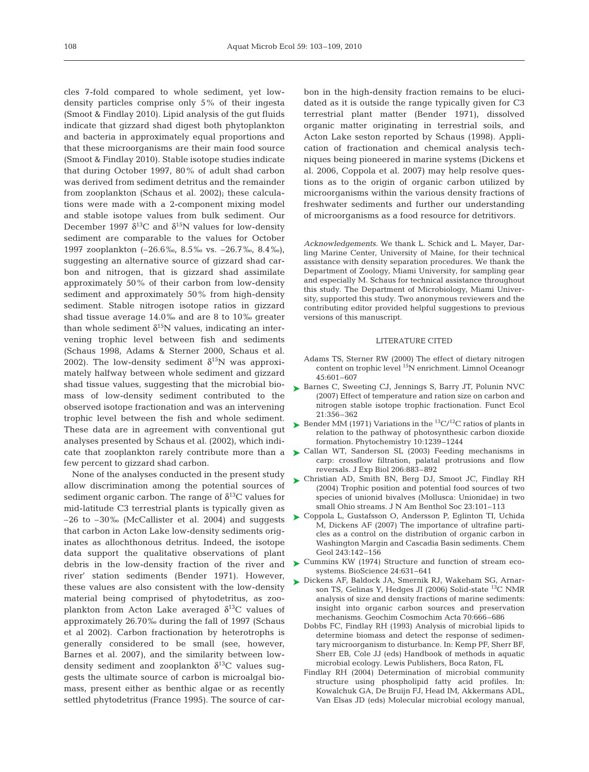cles 7-fold compared to whole sediment, yet lowdensity particles comprise only 5% of their ingesta (Smoot & Findlay 2010). Lipid analysis of the gut fluids indicate that gizzard shad digest both phytoplankton and bacteria in approximately equal proportions and that these microorganisms are their main food source (Smoot & Findlay 2010). Stable isotope studies indicate that during October 1997, 80% of adult shad carbon was derived from sediment detritus and the remainder from zooplankton (Schaus et al. 2002); these calculations were made with a 2-component mixing model and stable isotope values from bulk sediment. Our December 1997  $\delta^{13}$ C and  $\delta^{15}$ N values for low-density sediment are comparable to the values for October 1997 zooplankton (–26.6‰, 8.5‰ vs. –26.7‰, 8.4‰), suggesting an alternative source of gizzard shad carbon and nitrogen, that is gizzard shad assimilate approximately 50% of their carbon from low-density sediment and approximately 50% from high-density sediment. Stable nitrogen isotope ratios in gizzard shad tissue average 14.0‰ and are 8 to 10‰ greater than whole sediment  $\delta^{15}N$  values, indicating an intervening trophic level between fish and sediments (Schaus 1998, Adams & Sterner 2000, Schaus et al. 2002). The low-density sediment  $\delta^{15}N$  was approximately halfway between whole sediment and gizzard shad tissue values, suggesting that the microbial biomass of low-density sediment contributed to the observed isotope fractionation and was an intervening trophic level between the fish and whole sediment. These data are in agreement with conventional gut analyses presented by Schaus et al. (2002), which indicate that zooplankton rarely contribute more than a few percent to gizzard shad carbon.

None of the analyses conducted in the present study allow discrimination among the potential sources of sediment organic carbon. The range of  $\delta^{13}C$  values for mid-latitude C3 terrestrial plants is typically given as  $-26$  to  $-30\%$  (McCallister et al. 2004) and suggests that carbon in Acton Lake low-density sediments originates as allochthonous detritus. Indeed, the isotope data support the qualitative observations of plant debris in the low-density fraction of the river and river' station sediments (Bender 1971). However, these values are also consistent with the low-density material being comprised of phytodetritus, as zooplankton from Acton Lake averaged  $\delta^{13}$ C values of approximately 26.70‰ during the fall of 1997 (Schaus et al 2002). Carbon fractionation by heterotrophs is generally considered to be small (see, however, Barnes et al. 2007), and the similarity between lowdensity sediment and zooplankton  $\delta^{13}$ C values suggests the ultimate source of carbon is microalgal biomass, present either as benthic algae or as recently settled phytodetritus (France 1995). The source of carbon in the high-density fraction remains to be elucidated as it is outside the range typically given for C3 terrestrial plant matter (Bender 1971), dissolved organic matter originating in terrestrial soils, and Acton Lake seston reported by Schaus (1998). Application of fractionation and chemical analysis techniques being pioneered in marine systems (Dickens et al. 2006, Coppola et al. 2007) may help resolve questions as to the origin of organic carbon utilized by microorganisms within the various density fractions of freshwater sediments and further our understanding of microorganisms as a food resource for detritivors.

*Acknowledgements.* We thank L. Schick and L. Mayer, Darling Marine Center, University of Maine, for their technical assistance with density separation procedures. We thank the Department of Zoology, Miami University, for sampling gear and especially M. Schaus for technical assistance throughout this study. The Department of Microbiology, Miami University, supported this study. Two anonymous reviewers and the contributing editor provided helpful suggestions to previous versions of this manuscript.

### LITERATURE CITED

- Adams TS, Sterner RW (2000) The effect of dietary nitrogen content on trophic level 15N enrichment. Limnol Oceanogr 45:601–607
- ► Barnes C, Sweeting CJ, Jennings S, Barry JT, Polunin NVC (2007) Effect of temperature and ration size on carbon and nitrogen stable isotope trophic fractionation. Funct Ecol 21:356–362
- Subseted MM (1971) Variations in the <sup>13</sup>C/<sup>12</sup>C ratios of plants in relation to the pathway of photosynthesic carbon dioxide formation. Phytochemistry 10:1239–1244
- ▶ Callan WT, Sanderson SL (2003) Feeding mechanisms in carp: crossflow filtration, palatal protrusions and flow reversals. J Exp Biol 206:883–892
- ▶ Christian AD, Smith BN, Berg DJ, Smoot JC, Findlay RH (2004) Trophic position and potential food sources of two species of unionid bivalves (Mollusca: Unionidae) in two small Ohio streams. J N Am Benthol Soc 23:101–113
- ► Coppola L, Gustafsson O, Andersson P, Eglinton TI, Uchida M, Dickens AF (2007) The importance of ultrafine particles as a control on the distribution of organic carbon in Washington Margin and Cascadia Basin sediments. Chem Geol 243:142–156
- ► Cummins KW (1974) Structure and function of stream ecosystems. BioScience 24:631–641
- ► Dickens AF, Baldock JA, Smernik RJ, Wakeham SG, Arnarson TS, Gelinas Y, Hedges JI (2006) Solid-state <sup>13</sup>C NMR analysis of size and density fractions of marine sediments: insight into organic carbon sources and preservation mechanisms. Geochim Cosmochim Acta 70:666–686
	- Dobbs FC, Findlay RH (1993) Analysis of microbial lipids to determine biomass and detect the response of sedimentary microorganism to disturbance. In: Kemp PF, Sherr BF, Sherr EB, Cole JJ (eds) Handbook of methods in aquatic microbial ecology. Lewis Publishers, Boca Raton, FL
	- Findlay RH (2004) Determination of microbial community structure using phospholipid fatty acid profiles. In: Kowalchuk GA, De Bruijn FJ, Head IM, Akkermans ADL, Van Elsas JD (eds) Molecular microbial ecology manual,